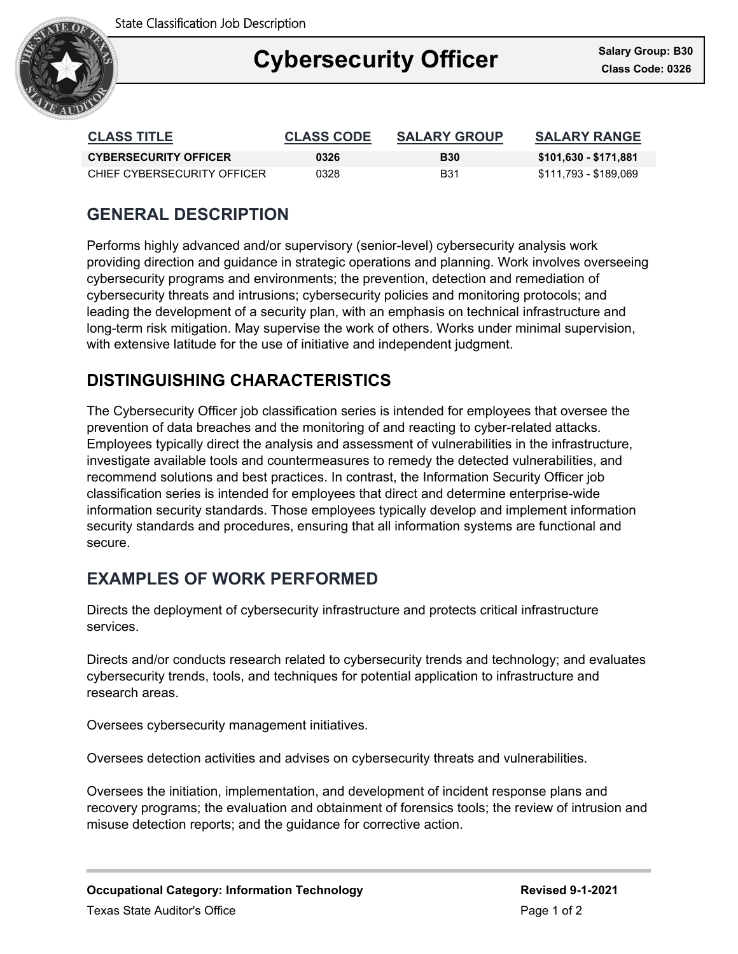State Classification Job Description



## Ξ **Cybersecurity Officer Called State: Class Code: 0326**

| <b>CLASS TITLE</b>           | <b>CLASS CODE</b> | <b>SALARY GROUP</b> | <b>SALARY RANGE</b>   |
|------------------------------|-------------------|---------------------|-----------------------|
| <b>CYBERSECURITY OFFICER</b> | 0326              | <b>B30</b>          | \$101,630 - \$171,881 |
| CHIEF CYBERSECURITY OFFICER  | 0328.             | B31                 | \$111.793 - \$189.069 |

## **GENERAL DESCRIPTION**

Performs highly advanced and/or supervisory (senior-level) cybersecurity analysis work providing direction and guidance in strategic operations and planning. Work involves overseeing cybersecurity programs and environments; the prevention, detection and remediation of cybersecurity threats and intrusions; cybersecurity policies and monitoring protocols; and leading the development of a security plan, with an emphasis on technical infrastructure and long-term risk mitigation. May supervise the work of others. Works under minimal supervision, with extensive latitude for the use of initiative and independent judgment.

## **DISTINGUISHING CHARACTERISTICS**

The Cybersecurity Officer job classification series is intended for employees that oversee the prevention of data breaches and the monitoring of and reacting to cyber-related attacks. Employees typically direct the analysis and assessment of vulnerabilities in the infrastructure, investigate available tools and countermeasures to remedy the detected vulnerabilities, and recommend solutions and best practices. In contrast, the Information Security Officer job classification series is intended for employees that direct and determine enterprise-wide information security standards. Those employees typically develop and implement information security standards and procedures, ensuring that all information systems are functional and secure.

# **EXAMPLES OF WORK PERFORMED**

Directs the deployment of cybersecurity infrastructure and protects critical infrastructure services.

Directs and/or conducts research related to cybersecurity trends and technology; and evaluates cybersecurity trends, tools, and techniques for potential application to infrastructure and research areas.

Oversees cybersecurity management initiatives.

Oversees detection activities and advises on cybersecurity threats and vulnerabilities.

Oversees the initiation, implementation, and development of incident response plans and recovery programs; the evaluation and obtainment of forensics tools; the review of intrusion and misuse detection reports; and the guidance for corrective action.